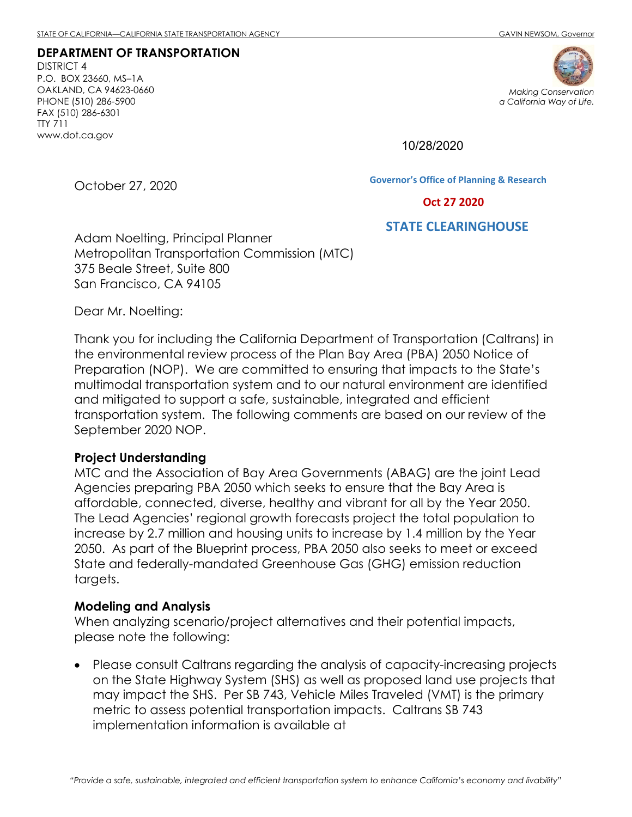**DEPARTMENT OF TRANSPORTATION** DISTRICT 4 P.O. BOX 23660, MS–1A OAKLAND, CA 94623-0660 PHONE (510) 286-5900 FAX (510) 286-6301 TTY 711 www.dot.ca.gov



10/28/2020

October 27, 2020

**Governor's Office of Planning & Research**

 **Oct 27 2020**

**STATE CLEARINGHOUSE**

Adam Noelting, Principal Planner Metropolitan Transportation Commission (MTC) 375 Beale Street, Suite 800 San Francisco, CA 94105

Dear Mr. Noelting:

Thank you for including the California Department of Transportation (Caltrans) in the environmental review process of the Plan Bay Area (PBA) 2050 Notice of Preparation (NOP). We are committed to ensuring that impacts to the State's multimodal transportation system and to our natural environment are identified and mitigated to support a safe, sustainable, integrated and efficient transportation system. The following comments are based on our review of the September 2020 NOP.

### **Project Understanding**

MTC and the Association of Bay Area Governments (ABAG) are the joint Lead Agencies preparing PBA 2050 which seeks to ensure that the Bay Area is affordable, connected, diverse, healthy and vibrant for all by the Year 2050. The Lead Agencies' regional growth forecasts project the total population to increase by 2.7 million and housing units to increase by 1.4 million by the Year 2050. As part of the Blueprint process, PBA 2050 also seeks to meet or exceed State and federally-mandated Greenhouse Gas (GHG) emission reduction targets.

### **Modeling and Analysis**

When analyzing scenario/project alternatives and their potential impacts, please note the following:

• Please consult Caltrans regarding the analysis of capacity-increasing projects on the State Highway System (SHS) as well as proposed land use projects that may impact the SHS. Per SB 743, Vehicle Miles Traveled (VMT) is the primary metric to assess potential transportation impacts. Caltrans SB 743 implementation information is available at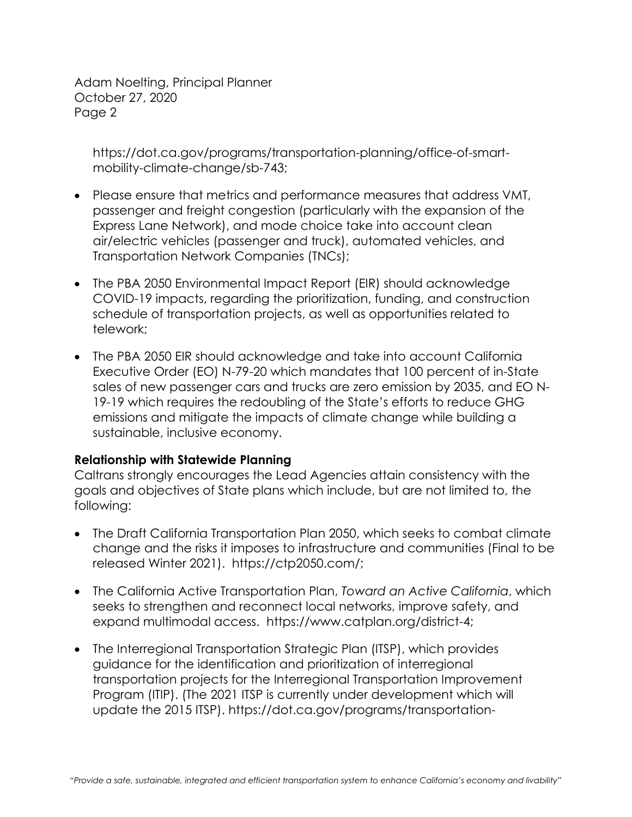[https://dot.ca.gov/programs/transportation-planning/office-of-smart](https://dot.ca.gov/programs/transportation-planning/office-of-smart-mobility-climate-change/sb-743)[mobility-climate-change/sb-743;](https://dot.ca.gov/programs/transportation-planning/office-of-smart-mobility-climate-change/sb-743)

- Please ensure that metrics and performance measures that address VMT, passenger and freight congestion (particularly with the expansion of the Express Lane Network), and mode choice take into account clean air/electric vehicles (passenger and truck), automated vehicles, and Transportation Network Companies (TNCs);
- The PBA 2050 Environmental Impact Report (EIR) should acknowledge COVID-19 impacts, regarding the prioritization, funding, and construction schedule of transportation projects, as well as opportunities related to telework;
- The PBA 2050 EIR should acknowledge and take into account California Executive Order (EO) N-79-20 which mandates that 100 percent of in-State sales of new passenger cars and trucks are zero emission by 2035, and EO N-19-19 which requires the redoubling of the State's efforts to reduce GHG emissions and mitigate the impacts of climate change while building a sustainable, inclusive economy.

# **Relationship with Statewide Planning**

Caltrans strongly encourages the Lead Agencies attain consistency with the goals and objectives of State plans which include, but are not limited to, the following:

- The Draft California Transportation Plan 2050, which seeks to combat climate change and the risks it imposes to infrastructure and communities (Final to be released Winter 2021). [https://ctp2050.com/;](https://ctp2050.com/)
- The California Active Transportation Plan, *Toward an Active California*, which seeks to strengthen and reconnect local networks, improve safety, and expand multimodal access. [https://www.catplan.org/district-4;](https://www.catplan.org/district-4)
- The Interregional Transportation Strategic Plan (ITSP), which provides guidance for the identification and prioritization of interregional transportation projects for the Interregional Transportation Improvement Program (ITIP). (The 2021 ITSP is currently under development which will update the 2015 ITSP). [https://dot.ca.gov/programs/transportation-](https://dot.ca.gov/programs/transportation-planning/multi-modal-system-planning/interregional-transportation-strategic-plan)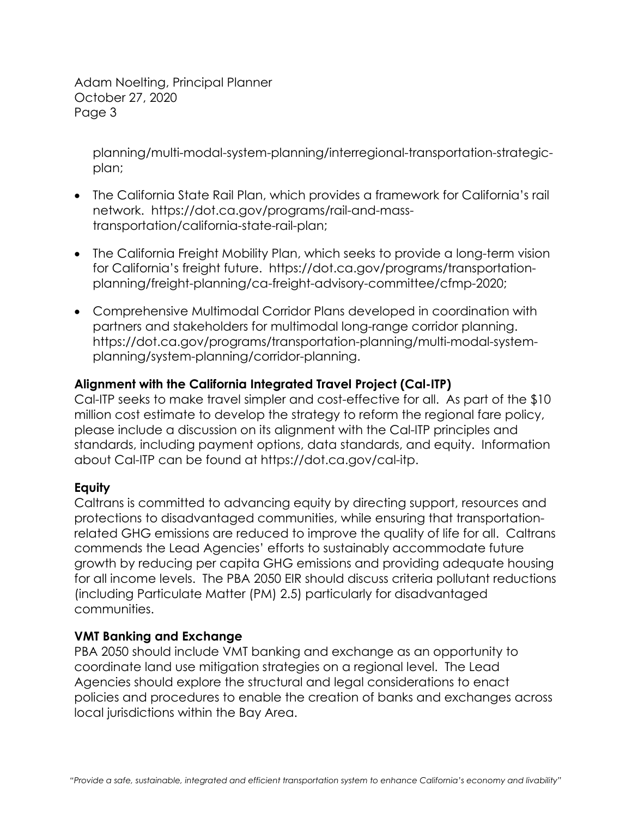[planning/multi-modal-system-planning/interregional-transportation-strategic](https://dot.ca.gov/programs/transportation-planning/multi-modal-system-planning/interregional-transportation-strategic-plan)[plan;](https://dot.ca.gov/programs/transportation-planning/multi-modal-system-planning/interregional-transportation-strategic-plan)

- The California State Rail Plan, which provides a framework for California's rail network. [https://dot.ca.gov/programs/rail-and-mass](https://dot.ca.gov/programs/rail-and-mass-transportation/california-state-rail-plan)[transportation/california-state-rail-plan;](https://dot.ca.gov/programs/rail-and-mass-transportation/california-state-rail-plan)
- The California Freight Mobility Plan, which seeks to provide a long-term vision for California's freight future. [https://dot.ca.gov/programs/transportation](https://dot.ca.gov/programs/transportation-planning/freight-planning/ca-freight-advisory-committee/cfmp-2020)[planning/freight-planning/ca-freight-advisory-committee/cfmp-2020;](https://dot.ca.gov/programs/transportation-planning/freight-planning/ca-freight-advisory-committee/cfmp-2020)
- Comprehensive Multimodal Corridor Plans developed in coordination with partners and stakeholders for multimodal long-range corridor planning. [https://dot.ca.gov/programs/transportation-planning/multi-modal-system](https://dot.ca.gov/programs/transportation-planning/multi-modal-system-planning/system-planning/corridor-planning)[planning/system-planning/corridor-planning.](https://dot.ca.gov/programs/transportation-planning/multi-modal-system-planning/system-planning/corridor-planning)

# **Alignment with the California Integrated Travel Project (Cal-ITP)**

Cal-ITP seeks to make travel simpler and cost-effective for all. As part of the \$10 million cost estimate to develop the strategy to reform the regional fare policy, please include a discussion on its alignment with the Cal-ITP principles and standards, including payment options, data standards, and equity. Information about Cal-ITP can be found at [https://dot.ca.gov/cal-itp.](https://dot.ca.gov/cal-itp)

# **Equity**

Caltrans is committed to advancing equity by directing support, resources and protections to disadvantaged communities, while ensuring that transportationrelated GHG emissions are reduced to improve the quality of life for all. Caltrans commends the Lead Agencies' efforts to sustainably accommodate future growth by reducing per capita GHG emissions and providing adequate housing for all income levels. The PBA 2050 EIR should discuss criteria pollutant reductions (including Particulate Matter (PM) 2.5) particularly for disadvantaged communities.

# **VMT Banking and Exchange**

PBA 2050 should include VMT banking and exchange as an opportunity to coordinate land use mitigation strategies on a regional level. The Lead Agencies should explore the structural and legal considerations to enact policies and procedures to enable the creation of banks and exchanges across local jurisdictions within the Bay Area.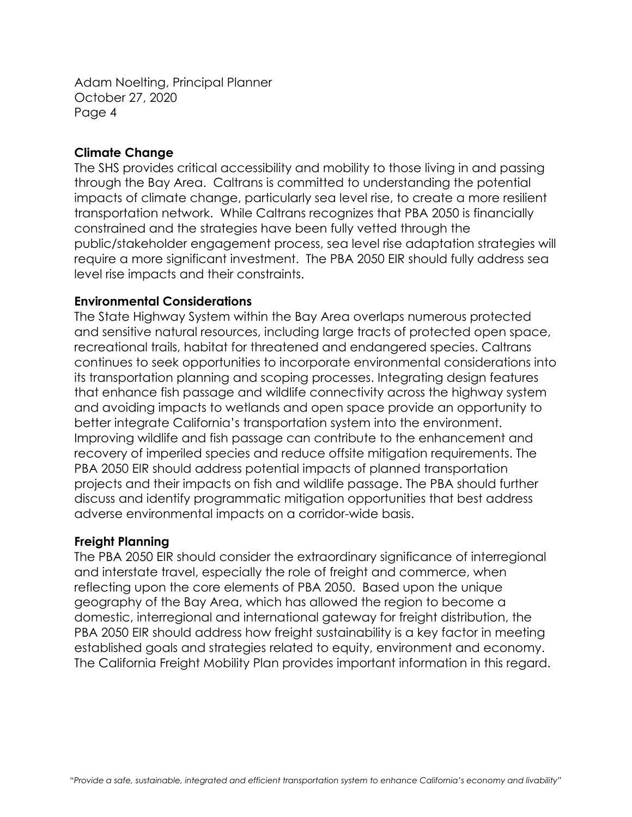### **Climate Change**

The SHS provides critical accessibility and mobility to those living in and passing through the Bay Area. Caltrans is committed to understanding the potential impacts of climate change, particularly sea level rise, to create a more resilient transportation network. While Caltrans recognizes that PBA 2050 is financially constrained and the strategies have been fully vetted through the public/stakeholder engagement process, sea level rise adaptation strategies will require a more significant investment. The PBA 2050 EIR should fully address sea level rise impacts and their constraints.

#### **Environmental Considerations**

The State Highway System within the Bay Area overlaps numerous protected and sensitive natural resources, including large tracts of protected open space, recreational trails, habitat for threatened and endangered species. Caltrans continues to seek opportunities to incorporate environmental considerations into its transportation planning and scoping processes. Integrating design features that enhance fish passage and wildlife connectivity across the highway system and avoiding impacts to wetlands and open space provide an opportunity to better integrate California's transportation system into the environment. Improving wildlife and fish passage can contribute to the enhancement and recovery of imperiled species and reduce offsite mitigation requirements. The PBA 2050 EIR should address potential impacts of planned transportation projects and their impacts on fish and wildlife passage. The PBA should further discuss and identify programmatic mitigation opportunities that best address adverse environmental impacts on a corridor-wide basis.

#### **Freight Planning**

The PBA 2050 EIR should consider the extraordinary significance of interregional and interstate travel, especially the role of freight and commerce, when reflecting upon the core elements of PBA 2050. Based upon the unique geography of the Bay Area, which has allowed the region to become a domestic, interregional and international gateway for freight distribution, the PBA 2050 EIR should address how freight sustainability is a key factor in meeting established goals and strategies related to equity, environment and economy. The California Freight Mobility Plan provides important information in this regard.